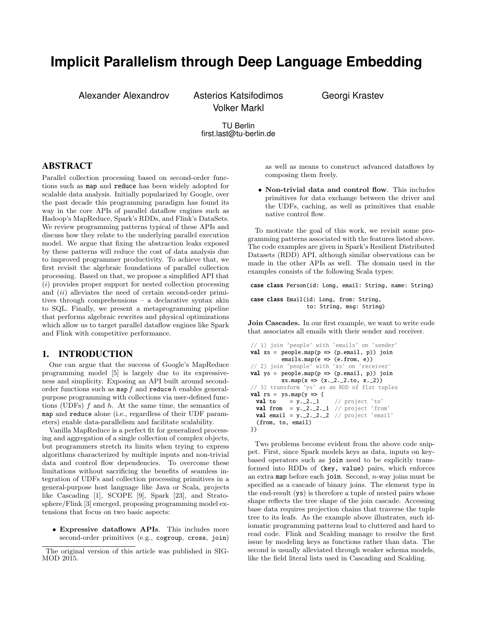# **Implicit Parallelism through Deep Language Embedding**

Alexander Alexandrov Asterios Katsifodimos Georgi Krastev Volker Markl

TU Berlin first.last@tu-berlin.de

# ABSTRACT

Parallel collection processing based on second-order functions such as map and reduce has been widely adopted for scalable data analysis. Initially popularized by Google, over the past decade this programming paradigm has found its way in the core APIs of parallel dataflow engines such as Hadoop's MapReduce, Spark's RDDs, and Flink's DataSets. We review programming patterns typical of these APIs and discuss how they relate to the underlying parallel execution model. We argue that fixing the abstraction leaks exposed by these patterns will reduce the cost of data analysis due to improved programmer productivity. To achieve that, we first revisit the algebraic foundations of parallel collection processing. Based on that, we propose a simplified API that (i) provides proper support for nested collection processing and (ii) alleviates the need of certain second-order primitives through comprehensions – a declarative syntax akin to SQL. Finally, we present a metaprogramming pipeline that performs algebraic rewrites and physical optimizations which allow us to target parallel dataflow engines like Spark and Flink with competitive performance.

## <span id="page-0-0"></span>1. INTRODUCTION

One can argue that the success of Google's MapReduce programming model [\[5\]](#page-7-0) is largely due to its expressiveness and simplicity. Exposing an API built around secondorder functions such as  $map f$  and reduce h enables generalpurpose programming with collections via user-defined functions (UDFs) f and h. At the same time, the semantics of map and reduce alone (i.e., regardless of their UDF parameters) enable data-parallelism and facilitate scalability.

Vanilla MapReduce is a perfect fit for generalized processing and aggregation of a single collection of complex objects, but programmers stretch its limits when trying to express algorithms characterized by multiple inputs and non-trivial data and control flow dependencies. To overcome these limitations without sacrificing the benefits of seamless integration of UDFs and collection processing primitives in a general-purpose host language like Java or Scala, projects like Cascading [\[1\]](#page-7-1), SCOPE [\[9\]](#page-7-2), Spark [\[23\]](#page-7-3), and Stratosphere/Flink [\[3\]](#page-7-4) emerged, proposing programming model extensions that focus on two basic aspects:

• Expressive dataflows APIs. This includes more second-order primitives (e.g., cogroup, cross, join)

as well as means to construct advanced dataflows by composing them freely.

• Non-trivial data and control flow. This includes primitives for data exchange between the driver and the UDFs, caching, as well as primitives that enable native control flow.

To motivate the goal of this work, we revisit some programming patterns associated with the features listed above. The code examples are given in Spark's Resilient Distributed Datasets (RDD) API, although similar observations can be made in the other APIs as well. The domain used in the examples consists of the following Scala types:

case class Person(id: Long, email: String, name: String)

case class Email(id: Long, from: String, to: String, msg: String)

Join Cascades. In our first example, we want to write code that associates all emails with their sender and receiver.

```
// 1) join 'people' with 'emails' on 'sender'
val xs = peoplemap(p \Rightarrow (p.email, p)) join
          emailsmap(e \Rightarrow (e.from, e))// 2) join 'people' with 'xs' on 'receiver'
val ys = peoplemap(p \Rightarrow (p.email, p)) join
          xsmap(x \implies (x - 2 - 2 \cdot to, x - 2))// 3) transform 'ys' as an RDD of flat tuples
val rs = ysmap(y \Rightarrow \{val to = y.-2.-1 // project 'to'
 val from = y.-2.-2.-1 // project 'from'
 val email = y.-2.-2.-2 // project 'email'
  (from, to, email)
})
```
Two problems become evident from the above code snippet. First, since Spark models keys as data, inputs on keybased operators such as join need to be explicitly transformed into RDDs of (key, value) pairs, which enforces an extra map before each join. Second,  $n$ -way joins must be specified as a cascade of binary joins. The element type in the end-result (ys) is therefore a tuple of nested pairs whose shape reflects the tree shape of the join cascade. Accessing base data requires projection chains that traverse the tuple tree to its leafs. As the example above illustrates, such idiomatic programming patterns lead to cluttered and hard to read code. Flink and Scalding manage to resolve the first issue by modeling keys as functions rather than data. The second is usually alleviated through weaker schema models, like the field literal lists used in Cascading and Scalding.

The original version of this article was published in SIG-MOD 2015.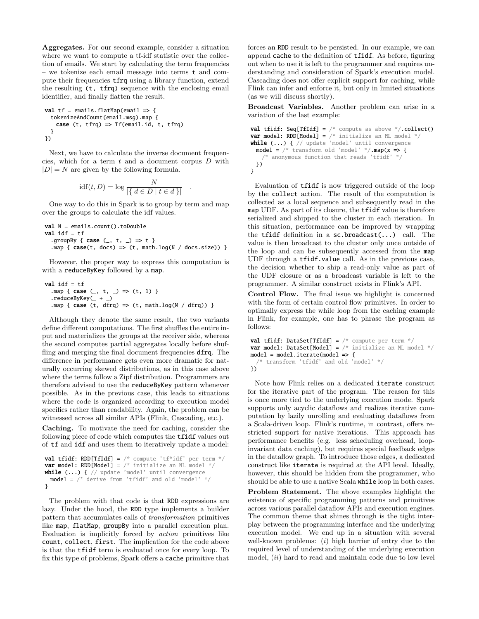Aggregates. For our second example, consider a situation where we want to compute a tf-idf statistic over the collection of emails. We start by calculating the term frequencies – we tokenize each email message into terms t and compute their frequencies tfrq using a library function, extend the resulting (t, tfrq) sequence with the enclosing email identifier, and finally flatten the result.

```
val tf = emails.floatMap(email \Rightarrow {tokenizeAndCount(email.msg).map {
   case (t, tfrq) => Tf(email.id, t, tfrq)
 }
})
```
Next, we have to calculate the inverse document frequencies, which for a term  $t$  and a document corpus  $D$  with  $|D| = N$  are given by the following formula.

$$
idf(t, D) = log \frac{N}{|\{ d \in D | t \in d \}|} .
$$

One way to do this in Spark is to group by term and map over the groups to calculate the idf values.

```
val N = emails.count().toDouble
val idf = tf.groupBy { case (_, t, _) => t }
  .map { case(t, docs) \Rightarrow (t, math.log(N / docs.size)) }
```
However, the proper way to express this computation is with a reduceByKey followed by a map.

```
val idf = tf
  .map { case (\_ , t, \_ ) \implies (t, 1) }
  .reduceByKey(_- + _-)
  .map { case (t, dfrq) => (t, math.log(N / dfrq)) }
```
Although they denote the same result, the two variants define different computations. The first shuffles the entire input and materializes the groups at the receiver side, whereas the second computes partial aggregates locally before shuffling and merging the final document frequencies dfrq. The difference in performance gets even more dramatic for naturally occurring skewed distributions, as in this case above where the terms follow a Zipf distribution. Programmers are therefore advised to use the reduceByKey pattern whenever possible. As in the previous case, this leads to situations where the code is organized according to execution model specifics rather than readability. Again, the problem can be witnessed across all similar APIs (Flink, Cascading, etc.).

Caching. To motivate the need for caching, consider the following piece of code which computes the tfidf values out of tf and idf and uses them to iteratively update a model:

```
val tfidf: RDD[TfIdf] = /* compute 'tf*idf' per term */
var model: RDD[Model] = \frac{*}{*} initialize an ML model \frac{*}{*}while (...) { // update 'model' until convergence
 model = /* derive from 'tfidf' and old 'model' */
}
```
The problem with that code is that RDD expressions are lazy. Under the hood, the RDD type implements a builder pattern that accumulates calls of transformation primitives like map, flatMap, groupBy into a parallel execution plan. Evaluation is implicitly forced by action primitives like count, collect, first. The implication for the code above is that the tfidf term is evaluated once for every loop. To fix this type of problems, Spark offers a cache primitive that

forces an RDD result to be persisted. In our example, we can append cache to the definition of tfidf. As before, figuring out when to use it is left to the programmer and requires understanding and consideration of Spark's execution model. Cascading does not offer explicit support for caching, while Flink can infer and enforce it, but only in limited situations (as we will discuss shortly).

Broadcast Variables. Another problem can arise in a variation of the last example:

```
val tfidf: Seq[TfIdf] = /* compute as above */ collect()
var model: RDD[Model] = \frac{*}{*} initialize an ML model \frac{*}{*}while (...) { // update 'model' until convergence
  model = \frac{*}{*} transform old 'model' */map(x \Rightarrow \{/* anonymous function that reads 'tfidf' */
 })
}
```
Evaluation of tfidf is now triggered outside of the loop by the collect action. The result of the computation is collected as a local sequence and subsequently read in the map UDF. As part of its closure, the tfidf value is therefore serialized and shipped to the cluster in each iteration. In this situation, performance can be improved by wrapping the tfidf definition in a sc.broadcast(...) call. The value is then broadcast to the cluster only once outside of the loop and can be subsequently accessed from the map UDF through a tfidf.value call. As in the previous case, the decision whether to ship a read-only value as part of the UDF closure or as a broadcast variable is left to the programmer. A similar construct exists in Flink's API.

Control Flow. The final issue we highlight is concerned with the form of certain control flow primitives. In order to optimally express the while loop from the caching example in Flink, for example, one has to phrase the program as follows:

```
val tfidf: DataSet[TfIdf] = /* compute per term */var model: DataSet[Model] = /* initialize an ML model */model = model.iterate(model => {/* transform 'tfidf' and old 'model' */
})
```
Note how Flink relies on a dedicated iterate construct for the iterative part of the program. The reason for this is once more tied to the underlying execution mode. Spark supports only acyclic dataflows and realizes iterative computation by lazily unrolling and evaluating dataflows from a Scala-driven loop. Flink's runtime, in contrast, offers restricted support for native iterations. This approach has performance benefits (e.g. less scheduling overhead, loopinvariant data caching), but requires special feedback edges in the dataflow graph. To introduce those edges, a dedicated construct like iterate is required at the API level. Ideally, however, this should be hidden from the programmer, who should be able to use a native Scala while loop in both cases.

Problem Statement. The above examples highlight the existence of specific programming patterns and primitives across various parallel dataflow APIs and execution engines. The common theme that shines through is the tight interplay between the programming interface and the underlying execution model. We end up in a situation with several well-known problems:  $(i)$  high barrier of entry due to the required level of understanding of the underlying execution model,  $(ii)$  hard to read and maintain code due to low level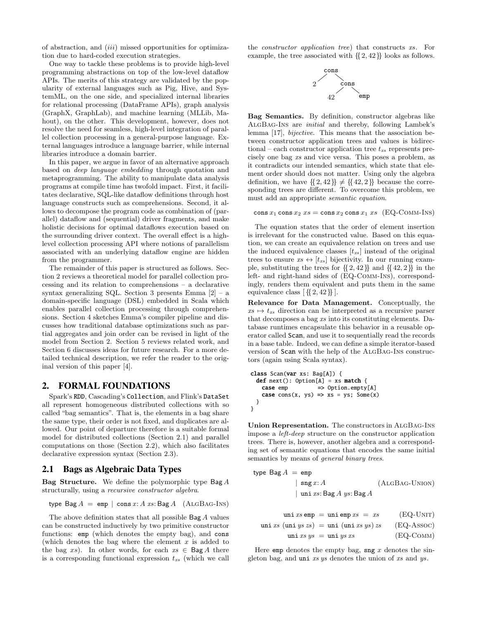of abstraction, and (iii) missed opportunities for optimization due to hard-coded execution strategies.

One way to tackle these problems is to provide high-level programming abstractions on top of the low-level dataflow APIs. The merits of this strategy are validated by the popularity of external languages such as Pig, Hive, and SystemML, on the one side, and specialized internal libraries for relational processing (DataFrame APIs), graph analysis (GraphX, GraphLab), and machine learning (MLLib, Mahout), on the other. This development, however, does not resolve the need for seamless, high-level integration of parallel collection processing in a general-purpose language. External languages introduce a language barrier, while internal libraries introduce a domain barrier.

In this paper, we argue in favor of an alternative approach based on deep language embedding through quotation and metaprogramming. The ability to manipulate data analysis programs at compile time has twofold impact. First, it facilitates declarative, SQL-like dataflow definitions through host language constructs such as comprehensions. Second, it allows to decompose the program code as combination of (parallel) dataflow and (sequential) driver fragments, and make holistic decisions for optimal dataflows execution based on the surrounding driver context. The overall effect is a highlevel collection processing API where notions of parallelism associated with an underlying dataflow engine are hidden from the programmer.

The remainder of this paper is structured as follows. Section [2](#page-2-0) reviews a theoretical model for parallel collection processing and its relation to comprehensions – a declarative syntax generalizing SQL. Section [3](#page-4-0) presents Emma  $[2]$  – a domain-specific language (DSL) embedded in Scala which enables parallel collection processing through comprehensions. Section [4](#page-4-1) sketches Emma's compiler pipeline and discusses how traditional database optimizations such as partial aggregates and join order can be revised in light of the model from [Section 2.](#page-2-0) Section [5](#page-6-0) reviews related work, and Section [6](#page-6-1) discusses ideas for future research. For a more detailed technical description, we refer the reader to the original version of this paper [\[4\]](#page-7-6).

### <span id="page-2-0"></span>2. FORMAL FOUNDATIONS

Spark's RDD, Cascading's Collection, and Flink's DataSet all represent homogeneous distributed collections with so called "bag semantics". That is, the elements in a bag share the same type, their order is not fixed, and duplicates are allowed. Our point of departure therefore is a suitable formal model for distributed collections [\(Section 2.1\)](#page-2-1) and parallel computations on those [\(Section 2.2\)](#page-3-0), which also facilitates declarative expression syntax [\(Section 2.3\)](#page-3-1).

# <span id="page-2-1"></span>2.1 Bags as Algebraic Data Types

**Bag Structure.** We define the polymorphic type  $\text{Bag } A$ structurally, using a recursive constructor algebra.

$$
type Bag A = emp | cons x: A xs: Bag A (ALGBAG-INS)
$$

The above definition states that all possible Bag A values can be constructed inductively by two primitive constructor functions: emp (which denotes the empty bag), and cons (which denotes the bag where the element  $x$  is added to the bag xs). In other words, for each  $xs \in \text{Bag } A$  there is a corresponding functional expression  $t_{xs}$  (which we call

the constructor application tree) that constructs xs. For example, the tree associated with {{2, 42}} looks as follows.



Bag Semantics. By definition, constructor algebras like [AlgBag-Ins](#page-2-2) are initial and thereby, following Lambek's lemma [\[17\]](#page-7-7), bijective. This means that the association between constructor application trees and values is bidirectional – each constructor application tree  $t_{xs}$  represents precisely one bag xs and vice versa. This poses a problem, as it contradicts our intended semantics, which state that element order should does not matter. Using only the algebra definition, we have  $\{2, 42\} \neq \{42, 2\}$  because the corresponding trees are different. To overcome this problem, we must add an appropriate semantic equation.

#### <span id="page-2-3"></span>cons  $x_1$  cons  $x_2$   $xs = \cos x_2 \cos x_1$   $xs$  (EQ-COMM-INS)

The equation states that the order of element insertion is irrelevant for the constructed value. Based on this equation, we can create an equivalence relation on trees and use the induced equivalence classes  $[t_{xs}]$  instead of the original trees to ensure  $xs \leftrightarrow [t_{xs}]$  bijectivity. In our running example, substituting the trees for  $\{2, 42\}$  and  $\{42, 2\}$  in the left- and right-hand sides of ([EQ-Comm-Ins](#page-2-3)), correspondingly, renders them equivalent and puts them in the same equivalence class  $\left[ \{ 2, 42 \} \right]$ .

Relevance for Data Management. Conceptually, the  $xs \mapsto t_{xs}$  direction can be interpreted as a recursive parser that decomposes a bag xs into its constituting elements. Database runtimes encapsulate this behavior in a reusable operator called Scan, and use it to sequentially read the records in a base table. Indeed, we can define a simple iterator-based version of Scan with the help of the [AlgBag-Ins](#page-2-2) constructors (again using Scala syntax).

```
class Scan(var xs: Bag[A]) {
 def next(): Option[A] = xs match {
   case emp => Option.empty[A]
   case cons(x, ys) => xs = ys; Some(x)
 }
}
```
Union Representation. The constructors in [AlgBag-Ins](#page-2-2) impose a left-deep structure on the constructor application trees. There is, however, another algebra and a corresponding set of semantic equations that encodes the same initial semantics by means of *general binary trees*.

<span id="page-2-2"></span>
$$
\begin{array}{ll}\n\text{type Bag } A & = \text{emp} \\
 & | \text{ sing } x: A \\
 & | \text{ uni } xs: \text{Bag } A \text{ ys: Bag } A\n\end{array}\n\tag{ALGBAG-UNION}
$$

<span id="page-2-4"></span>
$$
\text{uni } xs \text{ emp} = \text{uni } \text{emp } xs = xs \qquad (\text{EQ-UNIT})
$$
\n
$$
\text{uni } xs \text{ (uni } ys \text{ zs}) = \text{uni } (\text{uni } xs \text{ ys}) \text{ zs} \qquad (\text{EQ-ASSOC})
$$
\n
$$
\text{uni } xs \text{ ys} = \text{uni } ys \text{ xs} \qquad (\text{EQ-COMM})
$$

Here emp denotes the empty bag, sng  $x$  denotes the singleton bag, and uni xs ys denotes the union of xs and ys.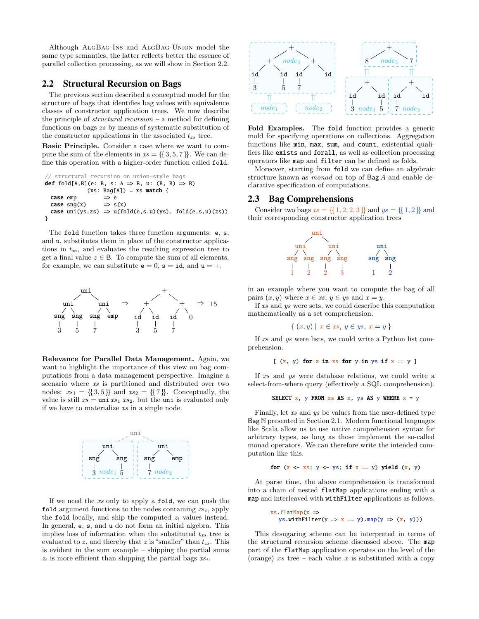Although [AlgBag-Ins](#page-2-2) and [AlgBag-Union](#page-2-4) model the same type semantics, the latter reflects better the essence of parallel collection processing, as we will show in Section [2.2.](#page-3-0)

#### <span id="page-3-0"></span>2.2 Structural Recursion on Bags

The previous section described a conceptual model for the structure of bags that identifies bag values with equivalence classes of constructor application trees. We now describe the principle of *structural recursion* – a method for defining functions on bags xs by means of systematic substitution of the constructor applications in the associated  $t_{xs}$  tree.

Basic Principle. Consider a case where we want to compute the sum of the elements in  $xs = \{\{3, 5, 7\}\}\.$  We can define this operation with a higher-order function called fold.

```
// structural recursion on union-style bags
def fold[A,B](e: B, s: A \Rightarrow B, u: (B, B) \Rightarrow B)
               (xs: Bag[A]) = xs match {case emp \implies e
 case \text{sng}(x) => \text{s}(x)case uni(ys,zs) \Rightarrow u(fold(e,s,u)(ys), fold(e,s,u)(zs))}
```
The fold function takes three function arguments: e, s, and u, substitutes them in place of the constructor applications in  $t_{xs}$ , and evaluates the resulting expression tree to get a final value  $z \in \mathsf{B}$ . To compute the sum of all elements, for example, we can substitute  $e = 0$ ,  $s = id$ , and  $u = +$ .



Relevance for Parallel Data Management. Again, we want to highlight the importance of this view on bag computations from a data management perspective. Imagine a scenario where xs is partitioned and distributed over two nodes:  $xs_1 = \{\{3, 5\}\}\$ and  $xs_2 = \{\{7\}\}\$ . Conceptually, the value is still  $xs = \text{uni } xs_1$   $xs_2$ , but the uni is evaluated only if we have to materialize xs in a single node.



If we need the xs only to apply a fold, we can push the fold argument functions to the nodes containing  $xs_i$ , apply the fold locally, and ship the computed  $z_i$  values instead. In general, e, s, and u do not form an initial algebra. This implies loss of information when the substituted  $t_{xs}$  tree is evaluated to z, and thereby that z is "smaller" than  $t_{xs}$ . This is evident in the sum example – shipping the partial sums  $z_i$  is more efficient than shipping the partial bags  $xs_i$ .



Fold Examples. The fold function provides a generic mold for specifying operations on collections. Aggregation functions like min, max, sum, and count, existential qualifiers like exists and forall, as well as collection processing operators like map and filter can be defined as folds.

Moreover, starting from fold we can define an algebraic structure known as monad on top of Bag A and enable declarative specification of computations.

#### <span id="page-3-1"></span>2.3 Bag Comprehensions

Consider two bags  $xs = \{ \{1, 2, 2, 3\} \}$  and  $ys = \{ \{1, 2\} \}$  and their corresponding constructor application trees



in an example where you want to compute the bag of all pairs  $(x, y)$  where  $x \in xs$ ,  $y \in ys$  and  $x = y$ .

If xs and ys were sets, we could describe this computation mathematically as a set comprehension.

$$
\{ (x, y) \mid x \in xs, y \in ys, x = y \}
$$

If xs and ys were lists, we could write a Python list comprehension.

```
[(x, y) for x in xs for y in ys if x = y]
```
If xs and ys were database relations, we could write a select-from-where query (effectively a SQL comprehension).

#### SELECT  $x$ ,  $y$  FROM  $xs$  AS  $x$ ,  $ys$  AS  $y$  WHERE  $x = y$

Finally, let xs and ys be values from the user-defined type Bag N presented in [Section 2.1.](#page-2-1) Modern functional languages like Scala allow us to use native comprehension syntax for arbitrary types, as long as those implement the so-called monad operators. We can therefore write the intended computation like this.

for 
$$
(x \leq x s; y \leq y s; \text{ if } x == y)
$$
 yield  $(x, y)$ 

At parse time, the above comprehension is transformed into a chain of nested flatMap applications ending with a map and interleaved with withFilter applications as follows.

$$
\frac{x \cdot x \cdot f \cdot h \cdot h}{x \cdot x \cdot f} = \frac{y \cdot x}{x \cdot x} = y \cdot \frac{h \cdot h}{x \cdot x} \cdot f(x, y)
$$

This desugaring scheme can be interpreted in terms of the structural recursion scheme discussed above. The map part of the flatMap application operates on the level of the (orange)  $xs$  tree – each value  $x$  is substituted with a copy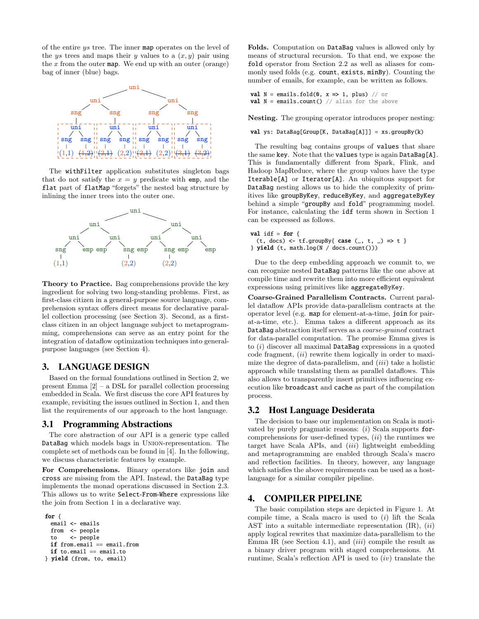of the entire ys tree. The inner map operates on the level of the ys trees and maps their y values to a  $(x, y)$  pair using the  $x$  from the outer map. We end up with an outer (orange) bag of inner (blue) bags.



The withFilter application substitutes singleton bags that do not satisfy the  $x = y$  predicate with emp, and the flat part of flatMap "forgets" the nested bag structure by inlining the inner trees into the outer one.



Theory to Practice. Bag comprehensions provide the key ingredient for solving two long-standing problems. First, as first-class citizen in a general-purpose source language, comprehension syntax offers direct means for declarative parallel collection processing (see [Section 3\)](#page-4-0). Second, as a firstclass citizen in an object language subject to metaprogramming, comprehensions can serve as an entry point for the integration of dataflow optimization techniques into generalpurpose languages (see [Section 4\)](#page-4-1).

# <span id="page-4-0"></span>3. LANGUAGE DESIGN

Based on the formal foundations outlined in [Section 2,](#page-2-0) we present Emma [\[2\]](#page-7-5) – a DSL for parallel collection processing embedded in Scala. We first discuss the core API features by example, revisiting the issues outlined in [Section 1,](#page-0-0) and then list the requirements of our approach to the host language.

#### <span id="page-4-2"></span>3.1 Programming Abstractions

The core abstraction of our API is a generic type called DataBag which models bags in Union-representation. The complete set of methods can be found in [\[4\]](#page-7-6). In the following, we discuss characteristic features by example.

For Comprehensions. Binary operators like join and cross are missing from the API. Instead, the DataBag type implements the monad operations discussed in Section [2.3.](#page-3-1) This allows us to write Select-From-Where expressions like the join from [Section 1](#page-0-0) in a declarative way.

```
for {
 email <- emails
 from <- people
 to <- people
 if from.email == email.from
 if to.email == email.to
} yield (from, to, email)
```
Folds. Computation on DataBag values is allowed only by means of structural recursion. To that end, we expose the fold operator from Section [2.2](#page-3-0) as well as aliases for commonly used folds (e.g. count, exists, minBy). Counting the number of emails, for example, can be written as follows.

```
val N = emails.fold(0, x \Rightarrow 1, plus) // or
val N = emails.count() // alias for the above
```
Nesting. The grouping operator introduces proper nesting:

val ys: DataBag[Group[K, DataBag[A]]] = xs.groupBy(k)

The resulting bag contains groups of values that share the same key. Note that the values type is again DataBag[A]. This is fundamentally different from Spark, Flink, and Hadoop MapReduce, where the group values have the type Iterable[A] or Iterator[A]. An ubiquitous support for DataBag nesting allows us to hide the complexity of primitives like groupByKey, reduceByKey, and aggregateByKey behind a simple "groupBy and fold" programming model. For instance, calculating the idf term shown in [Section 1](#page-0-0) can be expressed as follows.

val idf = for { (t, docs) <-  $tf.groupBy{ case (_, t, _)} \Rightarrow t$  $}$  yield (t, math.log(N / docs.count()))

Due to the deep embedding approach we commit to, we can recognize nested DataBag patterns like the one above at compile time and rewrite them into more efficient equivalent expressions using primitives like aggregateByKey.

Coarse-Grained Parallelism Contracts. Current parallel dataflow APIs provide data-parallelism contracts at the operator level (e.g. map for element-at-a-time, join for pairat-a-time, etc.). Emma takes a different approach as its DataBag abstraction itself serves as a coarse-grained contract for data-parallel computation. The promise Emma gives is to  $(i)$  discover all maximal DataBag expressions in a quoted code fragment, (ii) rewrite them logically in order to maximize the degree of data-parallelism, and  $(iii)$  take a holistic approach while translating them as parallel dataflows. This also allows to transparently insert primitives influencing execution like broadcast and cache as part of the compilation process.

#### 3.2 Host Language Desiderata

The decision to base our implementation on Scala is motivated by purely pragmatic reasons:  $(i)$  Scala supports forcomprehensions for user-defined types,  $(ii)$  the runtimes we target have Scala APIs, and  $(iii)$  lightweight embedding and metaprogramming are enabled through Scala's macro and reflection facilities. In theory, however, any language which satisfies the above requirements can be used as a hostlanguage for a similar compiler pipeline.

# <span id="page-4-1"></span>4. COMPILER PIPELINE

The basic compilation steps are depicted in [Figure 1.](#page-5-0) At compile time, a Scala macro is used to  $(i)$  lift the Scala AST into a suitable intermediate representation  $(IR)$ ,  $(ii)$ apply logical rewrites that maximize data-parallelism to the Emma IR (see [Section 4.1\)](#page-5-1), and  $(iii)$  compile the result as a binary driver program with staged comprehensions. At runtime, Scala's reflection API is used to  $(iv)$  translate the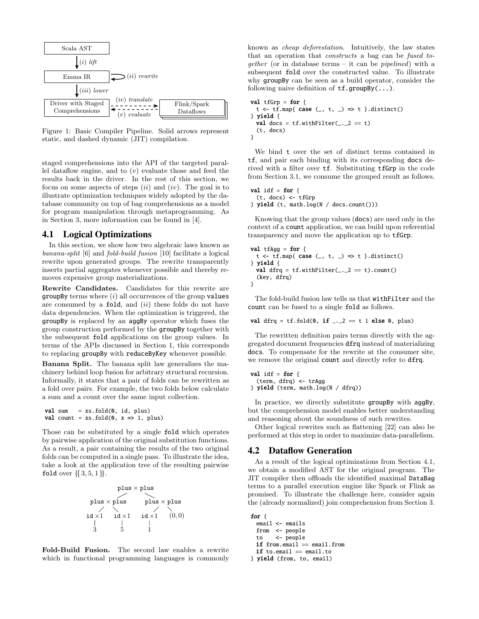<span id="page-5-0"></span>

Figure 1: Basic Compiler Pipeline. Solid arrows represent static, and dashed dynamic (JIT) compilation.

staged comprehensions into the API of the targeted parallel dataflow engine, and to  $(v)$  evaluate those and feed the results back in the driver. In the rest of this section, we focus on some aspects of steps  $(ii)$  and  $(iv)$ . The goal is to illustrate optimization techniques widely adopted by the database community on top of bag comprehensions as a model for program manipulation through metaprogramming. As in [Section 3,](#page-4-0) more information can be found in [\[4\]](#page-7-6).

#### <span id="page-5-1"></span>4.1 Logical Optimizations

In this section, we show how two algebraic laws known as banana-split [\[6\]](#page-7-8) and fold-build fusion [\[10\]](#page-7-9) facilitate a logical rewrite upon generated groups. The rewrite transparently inserts partial aggregates whenever possible and thereby removes expensive group materializations.

Rewrite Candidates. Candidates for this rewrite are  $groupBy terms where (i) all occurrences of the group values$ are consumed by a  $fold$ , and  $(ii)$  these folds do not have data dependencies. When the optimization is triggered, the groupBy is replaced by an aggBy operator which fuses the group construction performed by the groupBy together with the subsequent fold applications on the group values. In terms of the APIs discussed in Section [1,](#page-0-0) this corresponds to replacing groupBy with reduceByKey whenever possible.

Banana Split. The banana split law generalizes the machinery behind loop fusion for arbitrary structural recursion. Informally, it states that a pair of folds can be rewritten as a fold over pairs. For example, the two folds below calculate a sum and a count over the same input collection.

```
val sum = xs.fold(0, id, plus)val count = xs.fold(0, x => 1, plus)
```
Those can be substituted by a single fold which operates by pairwise application of the original substitution functions. As a result, a pair containing the results of the two original folds can be computed in a single pass. To illustrate the idea, take a look at the application tree of the resulting pairwise fold over  $\{\{3, 5, 1\}\}\.$ 



Fold-Build Fusion. The second law enables a rewrite which in functional programming languages is commonly

known as cheap deforestation. Intuitively, the law states that an operation that constructs a bag can be fused together (or in database terms – it can be pipelined) with a subsequent fold over the constructed value. To illustrate why groupBy can be seen as a build operator, consider the following naive definition of  $tf.groupBy(...)$ .

```
val tfGrp = for {
 t \leftarrow tf.map{ case (_, t, _) => t }.distinct()
} yield {
  val docs = tf.withFilter(\_ . . 2 == t)(t, docs)
}
```
We bind t over the set of distinct terms contained in tf, and pair each binding with its corresponding docs derived with a filter over tf. Substituting tfGrp in the code from [Section 3.1,](#page-4-2) we consume the grouped result as follows.

```
val idf = for \{(t, docs) <- tfGrp
} yield (t, math.log(N / docs.count()))
```
Knowing that the group values (docs) are used only in the context of a count application, we can build upon referential transparency and move the application up to tfGrp.

```
val tfAgg = for \{t <- tf.map{ case (\_ , t, \_ ) \Rightarrow t }.distinct()
} yield {
  val dfrq = tf.withFilter(\_ . . 2 == t).count()(key, dfrq)
}
```
The fold-build fusion law tells us that withFilter and the count can be fused to a single fold as follows.

```
val dfrq = tf.fold(0, if __..2 == t 1 else 0, plus)
```
The rewritten definition pairs terms directly with the aggregated document frequencies dfrq instead of materializing docs. To compensate for the rewrite at the consumer site, we remove the original count and directly refer to dfrq.

```
val idf = for {
 (term, dfrq) <- trAgg
} yield (term, math.log(N / dfrq))
```
In practice, we directly substitute groupBy with aggBy, but the comprehension model enables better understanding and reasoning about the soundness of such rewrites.

Other logical rewrites such as flattening [\[22\]](#page-7-10) can also be performed at this step in order to maximize data-parallelism.

# <span id="page-5-2"></span>4.2 Dataflow Generation

As a result of the logical optimizations from Section [4.1,](#page-5-1) we obtain a modified AST for the original program. The JIT compiler then offloads the identified maximal DataBag terms to a parallel execution engine like Spark or Flink as promised. To illustrate the challenge here, consider again the (already normalized) join comprehension from [Section 3.](#page-4-0)

```
for {
 email <- emails
 from <- people
 to <- people
 if from.email == email.from
 if to.email == email.to
```

```
} yield (from, to, email)
```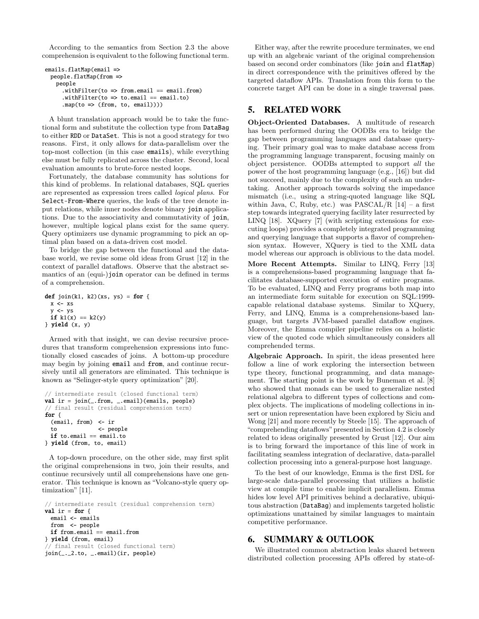According to the semantics from [Section 2.3](#page-3-1) the above comprehension is equivalent to the following functional term.

```
emails.flatMap(email =>
 people.flatMap(from =>
   people
      .withFilter(to \Rightarrow from.email == email.from)
      .withFilter(to \Rightarrow to email == email.to).map(to \Rightarrow (from, to, email))))
```
A blunt translation approach would be to take the functional form and substitute the collection type from DataBag to either RDD or DataSet. This is not a good strategy for two reasons. First, it only allows for data-parallelism over the top-most collection (in this case emails), while everything else must be fully replicated across the cluster. Second, local evaluation amounts to brute-force nested loops.

Fortunately, the database community has solutions for this kind of problems. In relational databases, SQL queries are represented as expression trees called logical plans. For Select-From-Where queries, the leafs of the tree denote input relations, while inner nodes denote binary join applications. Due to the associativity and commutativity of join, however, multiple logical plans exist for the same query. Query optimizers use dynamic programming to pick an optimal plan based on a data-driven cost model.

To bridge the gap between the functional and the database world, we revise some old ideas from Grust [\[12\]](#page-7-11) in the context of parallel dataflows. Observe that the abstract semantics of an (equi-)join operator can be defined in terms of a comprehension.

```
def join(k1, k2)(xs, ys) = for {
 x \leftarrow xsy \leftarrow ysif k1(x) == k2(y)} yield (x, y)
```
Armed with that insight, we can devise recursive procedures that transform comprehension expressions into functionally closed cascades of joins. A bottom-up procedure may begin by joining email and from, and continue recursively until all generators are eliminated. This technique is known as "Selinger-style query optimization" [\[20\]](#page-7-12).

```
// intermediate result (closed functional term)
val ir = join(_.from, _.email)(emails, people)
// final result (residual comprehension term)
for {
 (email, from) <- ir
 to <- people
 if to.email == email.to
} yield (from, to, email)
```
A top-down procedure, on the other side, may first split the original comprehensions in two, join their results, and continue recursively until all comprehensions have one generator. This technique is known as "Volcano-style query optimization" [\[11\]](#page-7-13).

```
// intermediate result (residual comprehension term)
val ir = for \{email <- emails
 from <- people
 if from.email == email.from
} yield (from, email)
// final result (closed functional term)
join(_._2.to, _.email)(ir, people)
```
Either way, after the rewrite procedure terminates, we end up with an algebraic variant of the original comprehension based on second order combinators (like join and flatMap) in direct correspondence with the primitives offered by the targeted dataflow APIs. Translation from this form to the concrete target API can be done in a single traversal pass.

# <span id="page-6-0"></span>5. RELATED WORK

Object-Oriented Databases. A multitude of research has been performed during the OODBs era to bridge the gap between programming languages and database querying. Their primary goal was to make database access from the programming language transparent, focusing mainly on object persistence. OODBs attempted to support all the power of the host programming language (e.g., [\[16\]](#page-7-14)) but did not succeed, mainly due to the complexity of such an undertaking. Another approach towards solving the impedance mismatch (i.e., using a string-quoted language like SQL within Java, C, Ruby, etc.) was PASCAL/R  $[14]$  – a first step towards integrated querying facility later resurrected by LINQ [\[18\]](#page-7-16). XQuery [\[7\]](#page-7-17) (with scripting extensions for executing loops) provides a completely integrated programming and querying language that supports a flavor of comprehension syntax. However, XQuery is tied to the XML data model whereas our approach is oblivious to the data model.

More Recent Attempts. Similar to LINQ, Ferry [\[13\]](#page-7-18) is a comprehensions-based programming language that facilitates database-supported execution of entire programs. To be evaluated, LINQ and Ferry programs both map into an intermediate form suitable for execution on SQL:1999 capable relational database systems. Similar to XQuery, Ferry, and LINQ, Emma is a comprehensions-based language, but targets JVM-based parallel dataflow engines. Moreover, the Emma compiler pipeline relies on a holistic view of the quoted code which simultaneously considers all comprehended terms.

Algebraic Approach. In spirit, the ideas presented here follow a line of work exploring the intersection between type theory, functional programming, and data management. The starting point is the work by Buneman et al. [\[8\]](#page-7-19) who showed that monads can be used to generalize nested relational algebra to different types of collections and complex objects. The implications of modeling collections in insert or union representation have been explored by Siciu and Wong [\[21\]](#page-7-20) and more recently by Steele [\[15\]](#page-7-21). The approach of "comprehending dataflows"presented in [Section 4.2](#page-5-2) is closely related to ideas originally presented by Grust [\[12\]](#page-7-11). Our aim is to bring forward the importance of this line of work in facilitating seamless integration of declarative, data-parallel collection processing into a general-purpose host language.

To the best of our knowledge, Emma is the first DSL for large-scale data-parallel processing that utilizes a holistic view at compile time to enable implicit parallelism. Emma hides low level API primitives behind a declarative, ubiquitous abstraction (DataBag) and implements targeted holistic optimizations unattained by similar languages to maintain competitive performance.

# <span id="page-6-1"></span>6. SUMMARY & OUTLOOK

We illustrated common abstraction leaks shared between distributed collection processing APIs offered by state-of